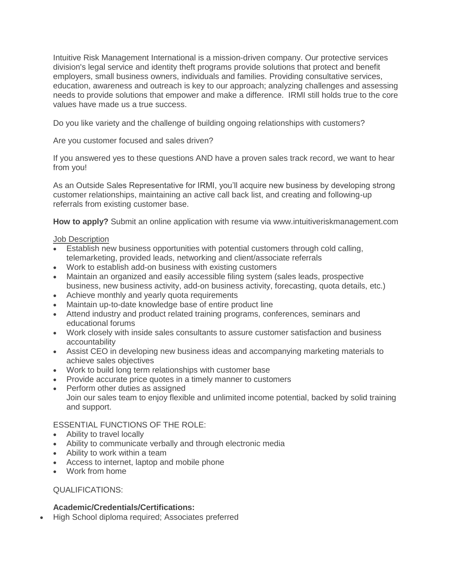Intuitive Risk Management International is a mission-driven company. Our protective services division's legal service and identity theft programs provide solutions that protect and benefit employers, small business owners, individuals and families. Providing consultative services, education, awareness and outreach is key to our approach; analyzing challenges and assessing needs to provide solutions that empower and make a difference. IRMI still holds true to the core values have made us a true success.

Do you like variety and the challenge of building ongoing relationships with customers?

Are you customer focused and sales driven?

If you answered yes to these questions AND have a proven sales track record, we want to hear from you!

As an Outside Sales Representative for IRMI, you'll acquire new business by developing strong customer relationships, maintaining an active call back list, and creating and following-up referrals from existing customer base.

**How to apply?** Submit an online application with resume via www.intuitiveriskmanagement.com

## **Job Description**

- Establish new business opportunities with potential customers through cold calling, telemarketing, provided leads, networking and client/associate referrals
- Work to establish add-on business with existing customers
- Maintain an organized and easily accessible filing system (sales leads, prospective business, new business activity, add-on business activity, forecasting, quota details, etc.)
- Achieve monthly and yearly quota requirements
- Maintain up-to-date knowledge base of entire product line
- Attend industry and product related training programs, conferences, seminars and educational forums
- Work closely with inside sales consultants to assure customer satisfaction and business accountability
- Assist CEO in developing new business ideas and accompanying marketing materials to achieve sales objectives
- Work to build long term relationships with customer base
- Provide accurate price quotes in a timely manner to customers
- Perform other duties as assigned Join our sales team to enjoy flexible and unlimited income potential, backed by solid training and support.

ESSENTIAL FUNCTIONS OF THE ROLE:

- Ability to travel locally
- Ability to communicate verbally and through electronic media
- Ability to work within a team
- Access to internet, laptop and mobile phone
- Work from home

QUALIFICATIONS:

## **Academic/Credentials/Certifications:**

High School diploma required; Associates preferred